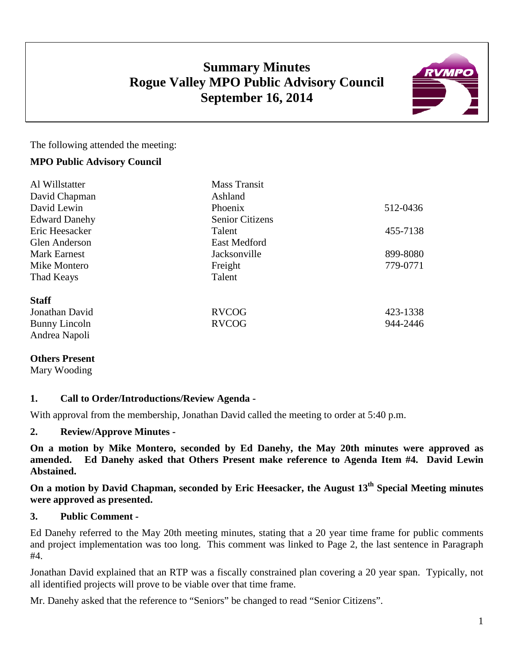# **Summary Minutes Rogue Valley MPO Public Advisory Council September 16, 2014**



The following attended the meeting:

### **MPO Public Advisory Council**

| Al Willstatter       | <b>Mass Transit</b>    |          |
|----------------------|------------------------|----------|
| David Chapman        | Ashland                |          |
| David Lewin          | Phoenix                | 512-0436 |
| <b>Edward Danehy</b> | <b>Senior Citizens</b> |          |
| Eric Heesacker       | Talent                 | 455-7138 |
| <b>Glen Anderson</b> | <b>East Medford</b>    |          |
| <b>Mark Earnest</b>  | Jacksonville           | 899-8080 |
| Mike Montero         | Freight                | 779-0771 |
| Thad Keays           | Talent                 |          |
| <b>Staff</b>         |                        |          |
| Jonathan David       | <b>RVCOG</b>           | 423-1338 |
| Bunny Lincoln        | <b>RVCOG</b>           | 944-2446 |
| Andrea Napoli        |                        |          |

### **Others Present**

Mary Wooding

### **1. Call to Order/Introductions/Review Agenda -**

With approval from the membership, Jonathan David called the meeting to order at 5:40 p.m.

### **2. Review/Approve Minutes -**

**On a motion by Mike Montero, seconded by Ed Danehy, the May 20th minutes were approved as amended. Ed Danehy asked that Others Present make reference to Agenda Item #4. David Lewin Abstained.**

**On a motion by David Chapman, seconded by Eric Heesacker, the August 13th Special Meeting minutes were approved as presented.**

### **3. Public Comment -**

Ed Danehy referred to the May 20th meeting minutes, stating that a 20 year time frame for public comments and project implementation was too long. This comment was linked to Page 2, the last sentence in Paragraph #4.

Jonathan David explained that an RTP was a fiscally constrained plan covering a 20 year span. Typically, not all identified projects will prove to be viable over that time frame.

Mr. Danehy asked that the reference to "Seniors" be changed to read "Senior Citizens".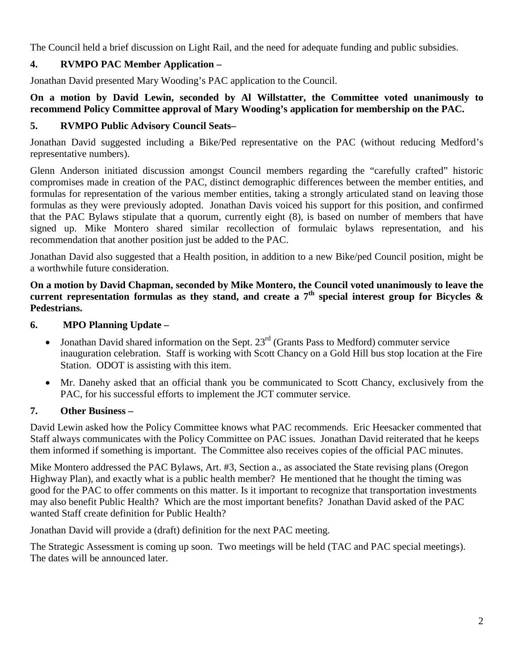The Council held a brief discussion on Light Rail, and the need for adequate funding and public subsidies.

# **4. RVMPO PAC Member Application –**

Jonathan David presented Mary Wooding's PAC application to the Council.

## **On a motion by David Lewin, seconded by Al Willstatter, the Committee voted unanimously to recommend Policy Committee approval of Mary Wooding's application for membership on the PAC.**

## **5. RVMPO Public Advisory Council Seats–**

Jonathan David suggested including a Bike/Ped representative on the PAC (without reducing Medford's representative numbers).

Glenn Anderson initiated discussion amongst Council members regarding the "carefully crafted" historic compromises made in creation of the PAC, distinct demographic differences between the member entities, and formulas for representation of the various member entities, taking a strongly articulated stand on leaving those formulas as they were previously adopted. Jonathan Davis voiced his support for this position, and confirmed that the PAC Bylaws stipulate that a quorum, currently eight (8), is based on number of members that have signed up. Mike Montero shared similar recollection of formulaic bylaws representation, and his recommendation that another position just be added to the PAC.

Jonathan David also suggested that a Health position, in addition to a new Bike/ped Council position, might be a worthwhile future consideration.

**On a motion by David Chapman, seconded by Mike Montero, the Council voted unanimously to leave the**  current representation formulas as they stand, and create a  $7<sup>th</sup>$  special interest group for Bicycles  $\&$ **Pedestrians.** 

## **6. MPO Planning Update –**

- Jonathan David shared information on the Sept.  $23^{rd}$  (Grants Pass to Medford) commuter service inauguration celebration. Staff is working with Scott Chancy on a Gold Hill bus stop location at the Fire Station. ODOT is assisting with this item.
- Mr. Danehy asked that an official thank you be communicated to Scott Chancy, exclusively from the PAC, for his successful efforts to implement the JCT commuter service.

## **7. Other Business –**

David Lewin asked how the Policy Committee knows what PAC recommends. Eric Heesacker commented that Staff always communicates with the Policy Committee on PAC issues. Jonathan David reiterated that he keeps them informed if something is important. The Committee also receives copies of the official PAC minutes.

Mike Montero addressed the PAC Bylaws, Art. #3, Section a., as associated the State revising plans (Oregon Highway Plan), and exactly what is a public health member? He mentioned that he thought the timing was good for the PAC to offer comments on this matter. Is it important to recognize that transportation investments may also benefit Public Health? Which are the most important benefits? Jonathan David asked of the PAC wanted Staff create definition for Public Health?

Jonathan David will provide a (draft) definition for the next PAC meeting.

The Strategic Assessment is coming up soon. Two meetings will be held (TAC and PAC special meetings). The dates will be announced later.